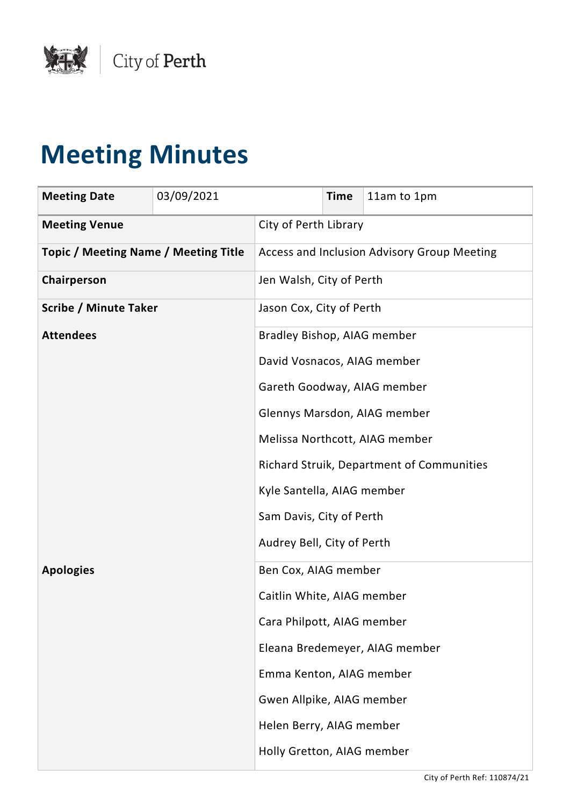

# **Meeting Minutes**

| <b>Meeting Date</b>                         | 03/09/2021 |                                | <b>Time</b>                               | 11am to 1pm                                 |  |
|---------------------------------------------|------------|--------------------------------|-------------------------------------------|---------------------------------------------|--|
| <b>Meeting Venue</b>                        |            | City of Perth Library          |                                           |                                             |  |
| <b>Topic / Meeting Name / Meeting Title</b> |            |                                |                                           | Access and Inclusion Advisory Group Meeting |  |
| Chairperson                                 |            | Jen Walsh, City of Perth       |                                           |                                             |  |
| <b>Scribe / Minute Taker</b>                |            | Jason Cox, City of Perth       |                                           |                                             |  |
| <b>Attendees</b>                            |            |                                | Bradley Bishop, AIAG member               |                                             |  |
|                                             |            | David Vosnacos, AIAG member    |                                           |                                             |  |
|                                             |            | Gareth Goodway, AIAG member    |                                           |                                             |  |
|                                             |            |                                |                                           | Glennys Marsdon, AIAG member                |  |
|                                             |            | Melissa Northcott, AIAG member |                                           |                                             |  |
|                                             |            |                                | Richard Struik, Department of Communities |                                             |  |
|                                             |            | Kyle Santella, AIAG member     |                                           |                                             |  |
|                                             |            | Sam Davis, City of Perth       |                                           |                                             |  |
|                                             |            | Audrey Bell, City of Perth     |                                           |                                             |  |
| <b>Apologies</b>                            |            | Ben Cox, AIAG member           |                                           |                                             |  |
|                                             |            | Caitlin White, AIAG member     |                                           |                                             |  |
|                                             |            | Cara Philpott, AIAG member     |                                           |                                             |  |
|                                             |            |                                |                                           | Eleana Bredemeyer, AIAG member              |  |
|                                             |            | Emma Kenton, AIAG member       |                                           |                                             |  |
|                                             |            | Gwen Allpike, AIAG member      |                                           |                                             |  |
|                                             |            | Helen Berry, AIAG member       |                                           |                                             |  |
|                                             |            | Holly Gretton, AIAG member     |                                           |                                             |  |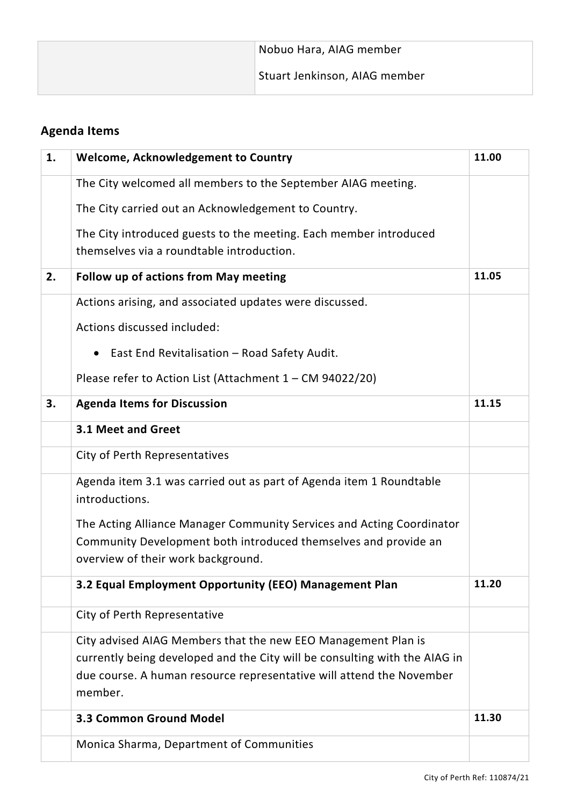| Stuart Jenkinson, AIAG member | Nobuo Hara, AIAG member |
|-------------------------------|-------------------------|
|                               |                         |

# **Agenda Items**

| 1. | <b>Welcome, Acknowledgement to Country</b>                                                                                                         | 11.00 |
|----|----------------------------------------------------------------------------------------------------------------------------------------------------|-------|
|    | The City welcomed all members to the September AIAG meeting.                                                                                       |       |
|    | The City carried out an Acknowledgement to Country.                                                                                                |       |
|    | The City introduced guests to the meeting. Each member introduced                                                                                  |       |
|    | themselves via a roundtable introduction.                                                                                                          |       |
| 2. | Follow up of actions from May meeting                                                                                                              | 11.05 |
|    | Actions arising, and associated updates were discussed.                                                                                            |       |
|    | Actions discussed included:                                                                                                                        |       |
|    | East End Revitalisation - Road Safety Audit.<br>$\bullet$                                                                                          |       |
|    | Please refer to Action List (Attachment 1 - CM 94022/20)                                                                                           |       |
| 3. | <b>Agenda Items for Discussion</b>                                                                                                                 | 11.15 |
|    | 3.1 Meet and Greet                                                                                                                                 |       |
|    | City of Perth Representatives                                                                                                                      |       |
|    | Agenda item 3.1 was carried out as part of Agenda item 1 Roundtable<br>introductions.                                                              |       |
|    | The Acting Alliance Manager Community Services and Acting Coordinator                                                                              |       |
|    | Community Development both introduced themselves and provide an<br>overview of their work background.                                              |       |
|    | 3.2 Equal Employment Opportunity (EEO) Management Plan                                                                                             | 11.20 |
|    |                                                                                                                                                    |       |
|    | City of Perth Representative                                                                                                                       |       |
|    | City advised AIAG Members that the new EEO Management Plan is                                                                                      |       |
|    | currently being developed and the City will be consulting with the AIAG in<br>due course. A human resource representative will attend the November |       |
|    | member.                                                                                                                                            |       |
|    | <b>3.3 Common Ground Model</b>                                                                                                                     | 11.30 |
|    | Monica Sharma, Department of Communities                                                                                                           |       |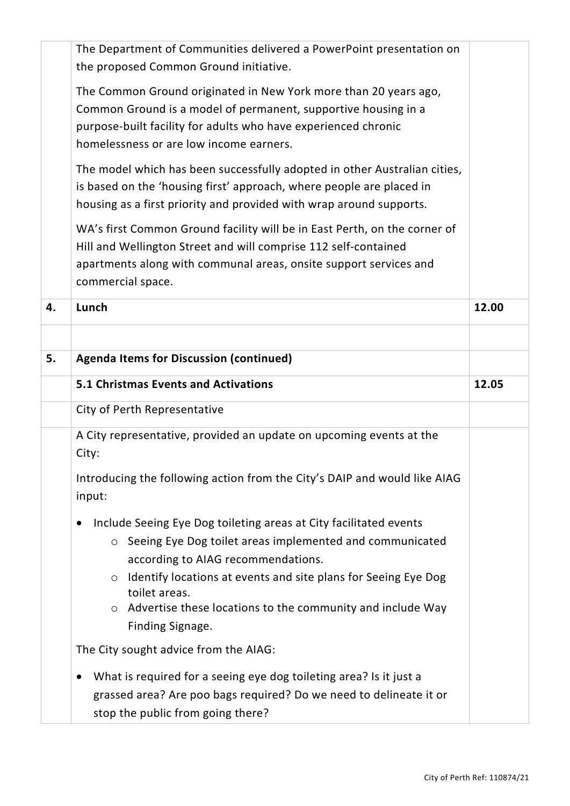|    | The Department of Communities delivered a PowerPoint presentation on<br>the proposed Common Ground initiative.                                                                                                                                  |       |
|----|-------------------------------------------------------------------------------------------------------------------------------------------------------------------------------------------------------------------------------------------------|-------|
|    | The Common Ground originated in New York more than 20 years ago,<br>Common Ground is a model of permanent, supportive housing in a<br>purpose-built facility for adults who have experienced chronic<br>homelessness or are low income earners. |       |
|    | The model which has been successfully adopted in other Australian cities,<br>is based on the 'housing first' approach, where people are placed in<br>housing as a first priority and provided with wrap around supports.                        |       |
|    | WA's first Common Ground facility will be in East Perth, on the corner of<br>Hill and Wellington Street and will comprise 112 self-contained<br>apartments along with communal areas, onsite support services and<br>commercial space.          |       |
| 4. | Lunch                                                                                                                                                                                                                                           | 12.00 |
|    |                                                                                                                                                                                                                                                 |       |
| 5. | <b>Agenda Items for Discussion (continued)</b>                                                                                                                                                                                                  |       |
|    | <b>5.1 Christmas Events and Activations</b>                                                                                                                                                                                                     | 12.05 |
|    | City of Perth Representative                                                                                                                                                                                                                    |       |
|    | A City representative, provided an update on upcoming events at the<br>City:                                                                                                                                                                    |       |
|    | Introducing the following action from the City's DAIP and would like AIAG<br>input:                                                                                                                                                             |       |
|    | Include Seeing Eye Dog toileting areas at City facilitated events                                                                                                                                                                               |       |
|    | Seeing Eye Dog toilet areas implemented and communicated<br>$\circ$<br>according to AIAG recommendations.                                                                                                                                       |       |
|    | Identify locations at events and site plans for Seeing Eye Dog<br>$\circ$<br>toilet areas.                                                                                                                                                      |       |
|    | $\circ$ Advertise these locations to the community and include Way<br>Finding Signage.                                                                                                                                                          |       |
|    | The City sought advice from the AIAG:                                                                                                                                                                                                           |       |
|    |                                                                                                                                                                                                                                                 |       |
|    | What is required for a seeing eye dog toileting area? Is it just a                                                                                                                                                                              |       |
|    | grassed area? Are poo bags required? Do we need to delineate it or                                                                                                                                                                              |       |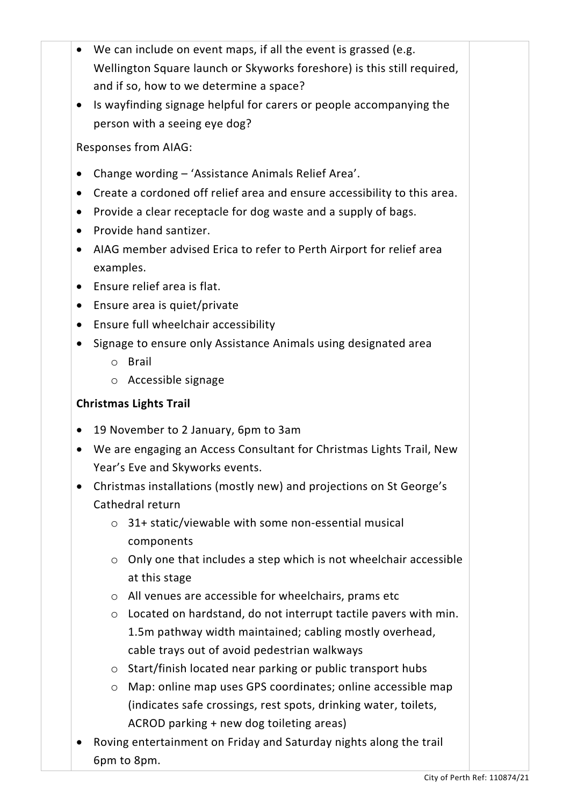| We can include on event maps, if all the event is grassed (e.g.                       |  |
|---------------------------------------------------------------------------------------|--|
| Wellington Square launch or Skyworks foreshore) is this still required,               |  |
| and if so, how to we determine a space?                                               |  |
| Is wayfinding signage helpful for carers or people accompanying the                   |  |
| person with a seeing eye dog?                                                         |  |
| <b>Responses from AIAG:</b>                                                           |  |
| Change wording - 'Assistance Animals Relief Area'.                                    |  |
| Create a cordoned off relief area and ensure accessibility to this area.<br>$\bullet$ |  |
| Provide a clear receptacle for dog waste and a supply of bags.<br>$\bullet$           |  |
| Provide hand santizer.<br>$\bullet$                                                   |  |
| AIAG member advised Erica to refer to Perth Airport for relief area<br>$\bullet$      |  |
| examples.                                                                             |  |
| Ensure relief area is flat.<br>$\bullet$                                              |  |
| Ensure area is quiet/private<br>$\bullet$                                             |  |
| Ensure full wheelchair accessibility<br>$\bullet$                                     |  |
| Signage to ensure only Assistance Animals using designated area                       |  |
| <b>Brail</b><br>$\circ$                                                               |  |
| $\circ$ Accessible signage                                                            |  |
| <b>Christmas Lights Trail</b>                                                         |  |
|                                                                                       |  |
| 19 November to 2 January, 6pm to 3am<br>$\bullet$                                     |  |
| We are engaging an Access Consultant for Christmas Lights Trail, New                  |  |
| Year's Eve and Skyworks events.                                                       |  |
| Christmas installations (mostly new) and projections on St George's                   |  |
| Cathedral return                                                                      |  |
| $\circ$ 31+ static/viewable with some non-essential musical                           |  |
| components                                                                            |  |
| Only one that includes a step which is not wheelchair accessible<br>$\circ$           |  |
| at this stage                                                                         |  |
| o All venues are accessible for wheelchairs, prams etc                                |  |
| Located on hardstand, do not interrupt tactile pavers with min.<br>$\circ$            |  |
| 1.5m pathway width maintained; cabling mostly overhead,                               |  |
| cable trays out of avoid pedestrian walkways                                          |  |
| Start/finish located near parking or public transport hubs<br>$\circ$                 |  |
| Map: online map uses GPS coordinates; online accessible map<br>$\circ$                |  |
| (indicates safe crossings, rest spots, drinking water, toilets,                       |  |
| ACROD parking + new dog toileting areas)                                              |  |

6pm to 8pm.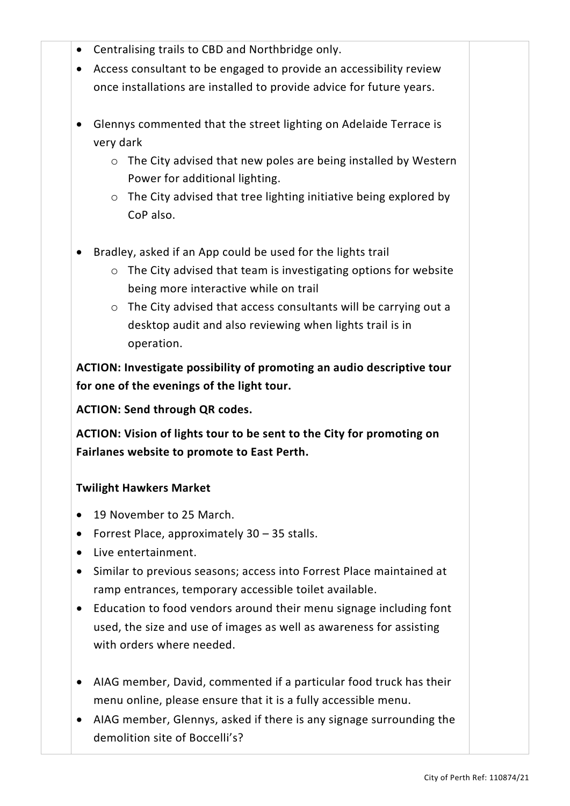- Centralising trails to CBD and Northbridge only.
- Access consultant to be engaged to provide an accessibility review once installations are installed to provide advice for future years.
- Glennys commented that the street lighting on Adelaide Terrace is very dark
	- o The City advised that new poles are being installed by Western Power for additional lighting.
	- o The City advised that tree lighting initiative being explored by CoP also.
- Bradley, asked if an App could be used for the lights trail
	- o The City advised that team is investigating options for website being more interactive while on trail
	- o The City advised that access consultants will be carrying out a desktop audit and also reviewing when lights trail is in operation.

**ACTION: Investigate possibility of promoting an audio descriptive tour for one of the evenings of the light tour.**

**ACTION: Send through QR codes.**

**ACTION: Vision of lights tour to be sent to the City for promoting on Fairlanes website to promote to East Perth.**

#### **Twilight Hawkers Market**

- 19 November to 25 March.
- Forrest Place, approximately 30 35 stalls.
- Live entertainment.
- Similar to previous seasons; access into Forrest Place maintained at ramp entrances, temporary accessible toilet available.
- Education to food vendors around their menu signage including font used, the size and use of images as well as awareness for assisting with orders where needed.
- AIAG member, David, commented if a particular food truck has their menu online, please ensure that it is a fully accessible menu.
- AIAG member, Glennys, asked if there is any signage surrounding the demolition site of Boccelli's?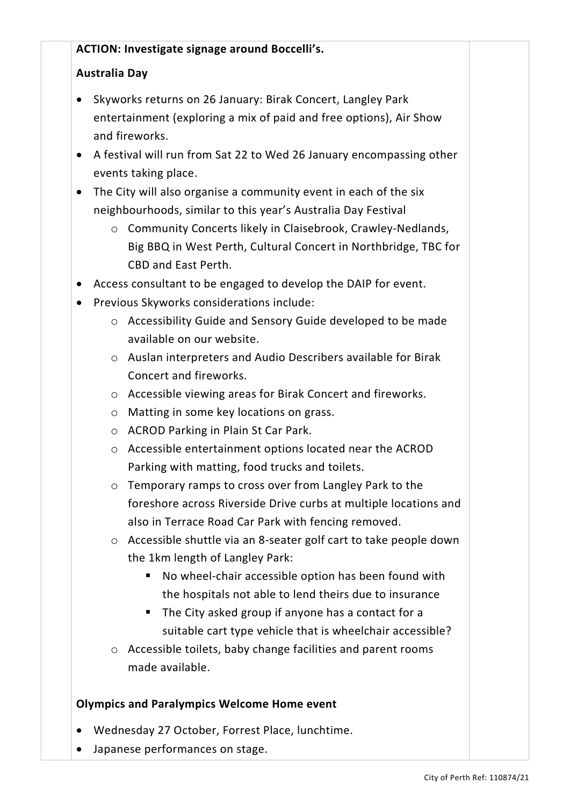### **ACTION: Investigate signage around Boccelli's.**

## **Australia Day**

- Skyworks returns on 26 January: Birak Concert, Langley Park entertainment (exploring a mix of paid and free options), Air Show and fireworks.
- A festival will run from Sat 22 to Wed 26 January encompassing other events taking place.
- The City will also organise a community event in each of the six neighbourhoods, similar to this year's Australia Day Festival
	- o Community Concerts likely in Claisebrook, Crawley-Nedlands, Big BBQ in West Perth, Cultural Concert in Northbridge, TBC for CBD and East Perth.
- Access consultant to be engaged to develop the DAIP for event.
- Previous Skyworks considerations include:
	- o Accessibility Guide and Sensory Guide developed to be made available on our website.
	- o Auslan interpreters and Audio Describers available for Birak Concert and fireworks.
	- o Accessible viewing areas for Birak Concert and fireworks.
	- o Matting in some key locations on grass.
	- o ACROD Parking in Plain St Car Park.
	- o Accessible entertainment options located near the ACROD Parking with matting, food trucks and toilets.
	- o Temporary ramps to cross over from Langley Park to the foreshore across Riverside Drive curbs at multiple locations and also in Terrace Road Car Park with fencing removed.
	- o Accessible shuttle via an 8-seater golf cart to take people down the 1km length of Langley Park:
		- No wheel-chair accessible option has been found with the hospitals not able to lend theirs due to insurance
		- The City asked group if anyone has a contact for a suitable cart type vehicle that is wheelchair accessible?
	- o Accessible toilets, baby change facilities and parent rooms made available.

#### **Olympics and Paralympics Welcome Home event**

- Wednesday 27 October, Forrest Place, lunchtime.
- Japanese performances on stage.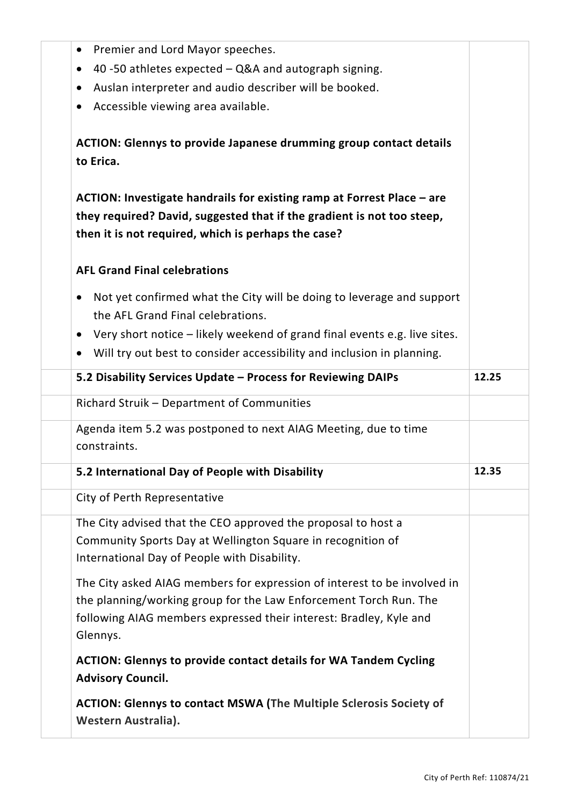| Premier and Lord Mayor speeches.<br>$\bullet$                                      |       |
|------------------------------------------------------------------------------------|-------|
| 40 -50 athletes expected $-$ Q&A and autograph signing.<br>$\bullet$               |       |
| Auslan interpreter and audio describer will be booked.<br>$\bullet$                |       |
| Accessible viewing area available.<br>$\bullet$                                    |       |
|                                                                                    |       |
| <b>ACTION: Glennys to provide Japanese drumming group contact details</b>          |       |
| to Erica.                                                                          |       |
| ACTION: Investigate handrails for existing ramp at Forrest Place – are             |       |
| they required? David, suggested that if the gradient is not too steep,             |       |
| then it is not required, which is perhaps the case?                                |       |
| <b>AFL Grand Final celebrations</b>                                                |       |
| Not yet confirmed what the City will be doing to leverage and support<br>$\bullet$ |       |
| the AFL Grand Final celebrations.                                                  |       |
| Very short notice - likely weekend of grand final events e.g. live sites.          |       |
| Will try out best to consider accessibility and inclusion in planning.             |       |
|                                                                                    | 12.25 |
| 5.2 Disability Services Update - Process for Reviewing DAIPs                       |       |
| Richard Struik - Department of Communities                                         |       |
| Agenda item 5.2 was postponed to next AIAG Meeting, due to time                    |       |
| constraints.                                                                       |       |
| 5.2 International Day of People with Disability                                    | 12.35 |
| City of Perth Representative                                                       |       |
| The City advised that the CEO approved the proposal to host a                      |       |
| Community Sports Day at Wellington Square in recognition of                        |       |
| International Day of People with Disability.                                       |       |
| The City asked AIAG members for expression of interest to be involved in           |       |
| the planning/working group for the Law Enforcement Torch Run. The                  |       |
| following AIAG members expressed their interest: Bradley, Kyle and                 |       |
| Glennys.                                                                           |       |
| <b>ACTION: Glennys to provide contact details for WA Tandem Cycling</b>            |       |
| <b>Advisory Council.</b>                                                           |       |
| <b>ACTION: Glennys to contact MSWA (The Multiple Sclerosis Society of</b>          |       |
| Western Australia).                                                                |       |
|                                                                                    |       |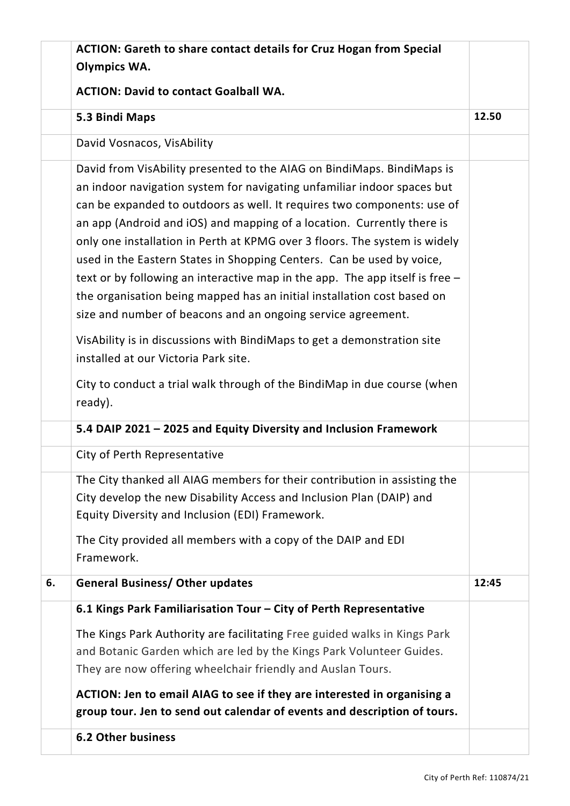|    | <b>ACTION: Gareth to share contact details for Cruz Hogan from Special</b><br><b>Olympics WA.</b>                                                                                                                                                                                                                                                                                                                                                                                                                                                                                                                                                                                                                                                                                                             |       |
|----|---------------------------------------------------------------------------------------------------------------------------------------------------------------------------------------------------------------------------------------------------------------------------------------------------------------------------------------------------------------------------------------------------------------------------------------------------------------------------------------------------------------------------------------------------------------------------------------------------------------------------------------------------------------------------------------------------------------------------------------------------------------------------------------------------------------|-------|
|    | <b>ACTION: David to contact Goalball WA.</b>                                                                                                                                                                                                                                                                                                                                                                                                                                                                                                                                                                                                                                                                                                                                                                  |       |
|    | 5.3 Bindi Maps                                                                                                                                                                                                                                                                                                                                                                                                                                                                                                                                                                                                                                                                                                                                                                                                | 12.50 |
|    | David Vosnacos, VisAbility                                                                                                                                                                                                                                                                                                                                                                                                                                                                                                                                                                                                                                                                                                                                                                                    |       |
|    | David from VisAbility presented to the AIAG on BindiMaps. BindiMaps is<br>an indoor navigation system for navigating unfamiliar indoor spaces but<br>can be expanded to outdoors as well. It requires two components: use of<br>an app (Android and iOS) and mapping of a location. Currently there is<br>only one installation in Perth at KPMG over 3 floors. The system is widely<br>used in the Eastern States in Shopping Centers. Can be used by voice,<br>text or by following an interactive map in the app. The app itself is free $-$<br>the organisation being mapped has an initial installation cost based on<br>size and number of beacons and an ongoing service agreement.<br>VisAbility is in discussions with BindiMaps to get a demonstration site<br>installed at our Victoria Park site. |       |
|    | City to conduct a trial walk through of the BindiMap in due course (when<br>ready).                                                                                                                                                                                                                                                                                                                                                                                                                                                                                                                                                                                                                                                                                                                           |       |
|    | 5.4 DAIP 2021 - 2025 and Equity Diversity and Inclusion Framework                                                                                                                                                                                                                                                                                                                                                                                                                                                                                                                                                                                                                                                                                                                                             |       |
|    | City of Perth Representative                                                                                                                                                                                                                                                                                                                                                                                                                                                                                                                                                                                                                                                                                                                                                                                  |       |
|    | The City thanked all AIAG members for their contribution in assisting the<br>City develop the new Disability Access and Inclusion Plan (DAIP) and<br>Equity Diversity and Inclusion (EDI) Framework.<br>The City provided all members with a copy of the DAIP and EDI<br>Framework.                                                                                                                                                                                                                                                                                                                                                                                                                                                                                                                           |       |
| 6. | <b>General Business/ Other updates</b>                                                                                                                                                                                                                                                                                                                                                                                                                                                                                                                                                                                                                                                                                                                                                                        | 12:45 |
|    | 6.1 Kings Park Familiarisation Tour - City of Perth Representative                                                                                                                                                                                                                                                                                                                                                                                                                                                                                                                                                                                                                                                                                                                                            |       |
|    | The Kings Park Authority are facilitating Free guided walks in Kings Park<br>and Botanic Garden which are led by the Kings Park Volunteer Guides.<br>They are now offering wheelchair friendly and Auslan Tours.<br>ACTION: Jen to email AIAG to see if they are interested in organising a<br>group tour. Jen to send out calendar of events and description of tours.                                                                                                                                                                                                                                                                                                                                                                                                                                       |       |
|    | <b>6.2 Other business</b>                                                                                                                                                                                                                                                                                                                                                                                                                                                                                                                                                                                                                                                                                                                                                                                     |       |